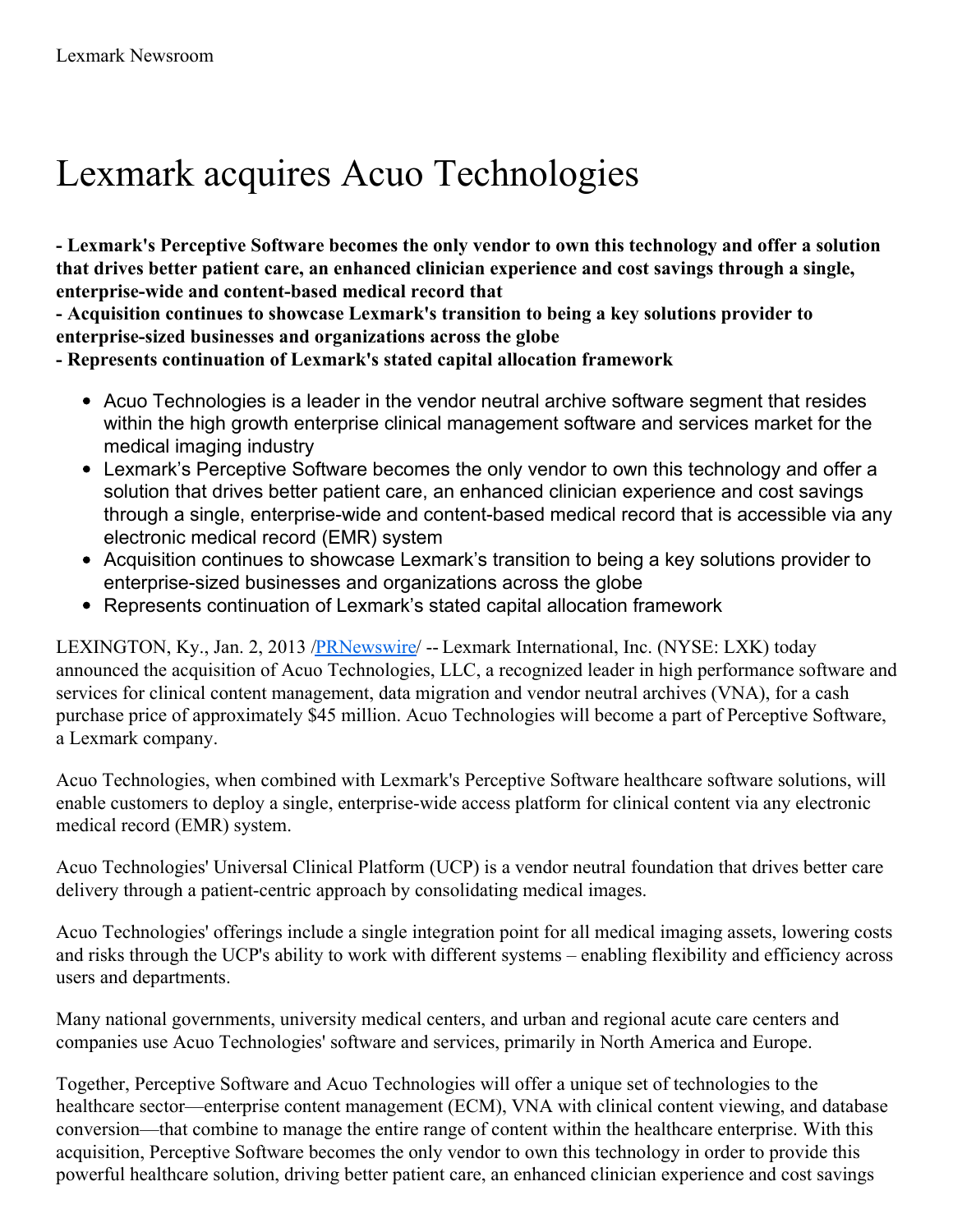## Lexmark acquires Acuo Technologies

**- Lexmark's Perceptive Software becomes the only vendor to own this technology and offer a solution that drives better patient care, an enhanced clinician experience and cost savings through a single, enterprise-wide and content-based medical record that**

**- Acquisition continues to showcase Lexmark's transition to being a key solutions provider to enterprise-sized businesses and organizations across the globe**

**- Represents continuation of Lexmark's stated capital allocation framework**

- Acuo Technologies is a leader in the vendor neutral archive software segment that resides within the high growth enterprise clinical management software and services market for the medical imaging industry
- Lexmark's Perceptive Software becomes the only vendor to own this technology and offer a solution that drives better patient care, an enhanced clinician experience and cost savings through a single, enterprise-wide and content-based medical record that is accessible via any electronic medical record (EMR) system
- Acquisition continues to showcase Lexmark's transition to being a key solutions provider to enterprise-sized businesses and organizations across the globe
- Represents continuation of Lexmark's stated capital allocation framework

LEXINGTON, Ky., Jan. 2, 2013 [/PRNewswire](http://www.prnewswire.com/)/ -- Lexmark International, Inc. (NYSE: LXK) today announced the acquisition of Acuo Technologies, LLC, a recognized leader in high performance software and services for clinical content management, data migration and vendor neutral archives (VNA), for a cash purchase price of approximately \$45 million. Acuo Technologies will become a part of Perceptive Software, a Lexmark company.

Acuo Technologies, when combined with Lexmark's Perceptive Software healthcare software solutions, will enable customers to deploy a single, enterprise-wide access platform for clinical content via any electronic medical record (EMR) system.

Acuo Technologies' Universal Clinical Platform (UCP) is a vendor neutral foundation that drives better care delivery through a patient-centric approach by consolidating medical images.

Acuo Technologies' offerings include a single integration point for all medical imaging assets, lowering costs and risks through the UCP's ability to work with different systems – enabling flexibility and efficiency across users and departments.

Many national governments, university medical centers, and urban and regional acute care centers and companies use Acuo Technologies' software and services, primarily in North America and Europe.

Together, Perceptive Software and Acuo Technologies will offer a unique set of technologies to the healthcare sector—enterprise content management (ECM), VNA with clinical content viewing, and database conversion—that combine to manage the entire range of content within the healthcare enterprise. With this acquisition, Perceptive Software becomes the only vendor to own this technology in order to provide this powerful healthcare solution, driving better patient care, an enhanced clinician experience and cost savings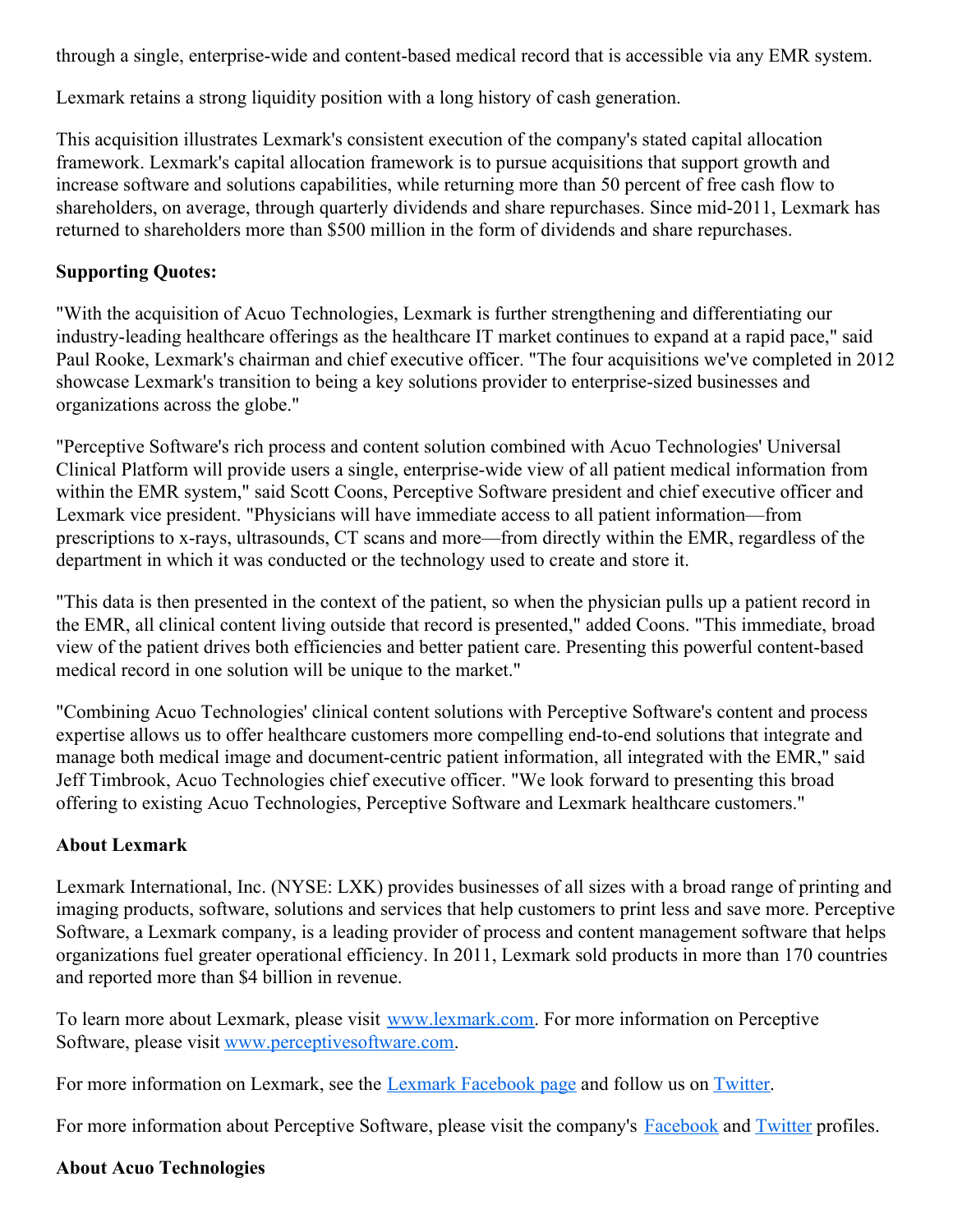through a single, enterprise-wide and content-based medical record that is accessible via any EMR system.

Lexmark retains a strong liquidity position with a long history of cash generation.

This acquisition illustrates Lexmark's consistent execution of the company's stated capital allocation framework. Lexmark's capital allocation framework is to pursue acquisitions that support growth and increase software and solutions capabilities, while returning more than 50 percent of free cash flow to shareholders, on average, through quarterly dividends and share repurchases. Since mid-2011, Lexmark has returned to shareholders more than \$500 million in the form of dividends and share repurchases.

## **Supporting Quotes:**

"With the acquisition of Acuo Technologies, Lexmark is further strengthening and differentiating our industry-leading healthcare offerings as the healthcare IT market continues to expand at a rapid pace," said Paul Rooke, Lexmark's chairman and chief executive officer. "The four acquisitions we've completed in 2012 showcase Lexmark's transition to being a key solutions provider to enterprise-sized businesses and organizations across the globe."

"Perceptive Software's rich process and content solution combined with Acuo Technologies' Universal Clinical Platform will provide users a single, enterprise-wide view of all patient medical information from within the EMR system," said Scott Coons, Perceptive Software president and chief executive officer and Lexmark vice president. "Physicians will have immediate access to all patient information—from prescriptions to x-rays, ultrasounds, CT scans and more—from directly within the EMR, regardless of the department in which it was conducted or the technology used to create and store it.

"This data is then presented in the context of the patient, so when the physician pulls up a patient record in the EMR, all clinical content living outside that record is presented," added Coons. "This immediate, broad view of the patient drives both efficiencies and better patient care. Presenting this powerful content-based medical record in one solution will be unique to the market."

"Combining Acuo Technologies' clinical content solutions with Perceptive Software's content and process expertise allows us to offer healthcare customers more compelling end-to-end solutions that integrate and manage both medical image and document-centric patient information, all integrated with the EMR," said Jeff Timbrook, Acuo Technologies chief executive officer. "We look forward to presenting this broad offering to existing Acuo Technologies, Perceptive Software and Lexmark healthcare customers."

## **About Lexmark**

Lexmark International, Inc. (NYSE: LXK) provides businesses of all sizes with a broad range of printing and imaging products, software, solutions and services that help customers to print less and save more. Perceptive Software, a Lexmark company, is a leading provider of process and content management software that helps organizations fuel greater operational efficiency. In 2011, Lexmark sold products in more than 170 countries and reported more than \$4 billion in revenue.

To learn more about Lexmark, please visit [www.lexmark.com](http://www1.lexmark.com/products/). For more information on Perceptive Software, please visit [www.perceptivesoftware.com](http://www.perceptivesoftware.com/).

For more information on Lexmark, see the Lexmark [Facebook](http://www.facebook.com/LexmarkNews) page and follow us on [Twitter](http://twitter.com/lexmarknews).

For more information about Perceptive Software, please visit the company's [Facebook](http://www.facebook.com/perceptivesw) and [Twitter](http://twitter.com/perceptivesw) profiles.

## **About Acuo Technologies**